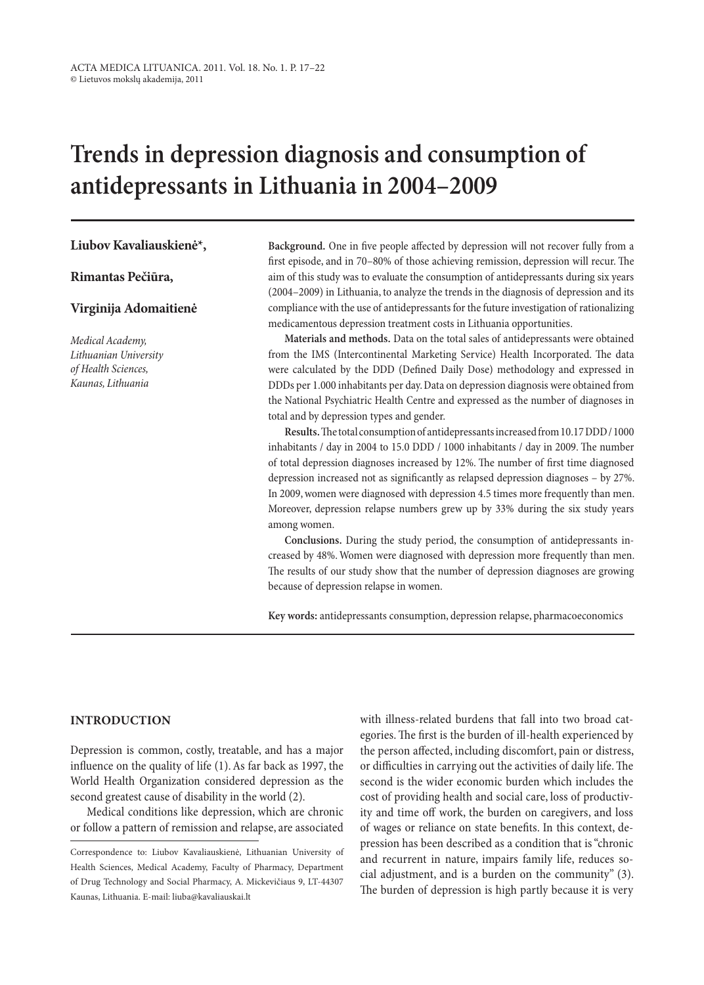# **Trends in depression diagnosis and consumption of antidepressants in Lithuania in 2004–2009**

### **Liubov Kavaliauskienė\*,**

**Rimantas Pečiūra,**

### **Virginija Adomaitienė**

*Medical Academy, Lithuanian University of Health Sciences, Kaunas, Lithuania*

**Background.** One in five people affected by depression will not recover fully from a first episode, and in 70–80% of those achieving remission, depression will recur. The aim of this study was to evaluate the consumption of antidepressants during six years (2004–2009) in Lithuania, to analyze the trends in the diagnosis of depression and its compliance with the use of antidepressants for the future investigation of rationalizing medicamentous depression treatment costs in Lithuania opportunities.

**Materials and methods.** Data on the total sales of antidepressants were obtained from the IMS (Intercontinental Marketing Service) Health Incorporated. The data were calculated by the DDD (Defined Daily Dose) methodology and expressed in DDDs per 1.000 inhabitants per day. Data on depression diagnosis were obtained from the National Psychiatric Health Centre and expressed as the number of diagnoses in total and by depression types and gender.

**Results.** The total consumption of antidepressants increased from 10.17DDD/1000 inhabitants / day in 2004 to 15.0 DDD / 1000 inhabitants / day in 2009. The number of total depression diagnoses increased by 12%. The number of first time diagnosed depression increased not as significantly as relapsed depression diagnoses – by 27%. In 2009, women were diagnosed with depression 4.5 times more frequently than men. Moreover, depression relapse numbers grew up by 33% during the six study years among women.

**Conclusions.** During the study period, the consumption of antidepressants increased by 48%. Women were diagnosed with depression more frequently than men. The results of our study show that the number of depression diagnoses are growing because of depression relapse in women.

**Key words:** antidepressants consumption, depression relapse, pharmacoeconomics

# **Introduction**

Depression is common, costly, treatable, and has a major influence on the quality of life (1). As far back as 1997, the World Health Organization considered depression as the second greatest cause of disability in the world (2).

Medical conditions like depression, which are chronic or follow a pattern of remission and relapse, are associated with illness-related burdens that fall into two broad categories. The first is the burden of ill-health experienced by the person affected, including discomfort, pain or distress, or difficulties in carrying out the activities of daily life. The second is the wider economic burden which includes the cost of providing health and social care, loss of productivity and time off work, the burden on caregivers, and loss of wages or reliance on state benefits. In this context, depression has been described as a condition that is "chronic and recurrent in nature, impairs family life, reduces social adjustment, and is a burden on the community" (3). The burden of depression is high partly because it is very

Correspondence to: Liubov Kavaliauskienė, Lithuanian University of Health Sciences, Medical Academy, Faculty of Pharmacy, Department of Drug Technology and Social Pharmacy, A. Mickevičiaus 9, LT-44307 Kaunas, Lithuania. E-mail: liuba@kavaliauskai.lt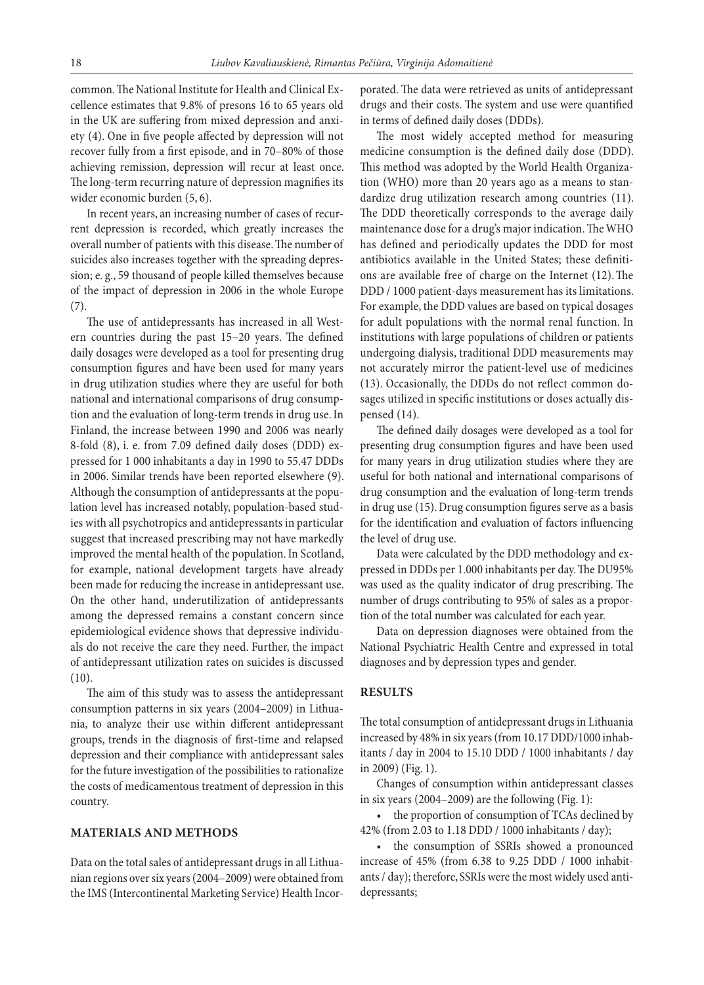common. The National Institute for Health and Clinical Excellence estimates that 9.8% of presons 16 to 65 years old in the UK are suffering from mixed depression and anxiety (4). One in five people affected by depression will not recover fully from a first episode, and in 70–80% of those achieving remission, depression will recur at least once. The long-term recurring nature of depression magnifies its wider economic burden (5, 6).

In recent years, an increasing number of cases of recurrent depression is recorded, which greatly increases the overall number of patients with this disease. The number of suicides also increases together with the spreading depression; e. g., 59 thousand of people killed themselves because of the impact of depression in 2006 in the whole Europe (7).

The use of antidepressants has increased in all Western countries during the past 15–20 years. The defined daily dosages were developed as a tool for presenting drug consumption figures and have been used for many years in drug utilization studies where they are useful for both national and international comparisons of drug consumption and the evaluation of long-term trends in drug use. In Finland, the increase between 1990 and 2006 was nearly 8-fold (8), i. e. from 7.09 defined daily doses (DDD) expressed for 1 000 inhabitants a day in 1990 to 55.47 DDDs in 2006. Similar trends have been reported elsewhere (9). Although the consumption of antidepressants at the population level has increased notably, population-based studies with all psychotropics and antidepressants in particular suggest that increased prescribing may not have markedly improved the mental health of the population. In Scotland, for example, national development targets have already been made for reducing the increase in antidepressant use. On the other hand, underutilization of antidepressants among the depressed remains a constant concern since epidemiological evidence shows that depressive individuals do not receive the care they need. Further, the impact of antidepressant utilization rates on suicides is discussed (10).

The aim of this study was to assess the antidepressant consumption patterns in six years (2004–2009) in Lithuania, to analyze their use within different antidepressant groups, trends in the diagnosis of first-time and relapsed depression and their compliance with antidepressant sales for the future investigation of the possibilities to rationalize the costs of medicamentous treatment of depression in this country.

## **Materials and methods**

Data on the total sales of antidepressant drugs in all Lithuanian regions over six years (2004–2009) were obtained from the IMS (Intercontinental Marketing Service) Health Incorporated. The data were retrieved as units of antidepressant drugs and their costs. The system and use were quantified in terms of defined daily doses (DDDs).

The most widely accepted method for measuring medicine consumption is the defined daily dose (DDD). This method was adopted by the World Health Organization (WHO) more than 20 years ago as a means to standardize drug utilization research among countries (11). The DDD theoretically corresponds to the average daily maintenance dose for a drug's major indication. The WHO has defined and periodically updates the DDD for most antibiotics available in the United States; these definitions are available free of charge on the Internet (12).The DDD / 1000 patient-days measurement has its limitations. For example, the DDD values are based on typical dosages for adult populations with the normal renal function. In institutions with large populations of children or patients undergoing dialysis, traditional DDD measurements may not accurately mirror the patient-level use of medicines (13). Occasionally, the DDDs do not reflect common dosages utilized in specific institutions or doses actually dispensed (14).

The defined daily dosages were developed as a tool for presenting drug consumption figures and have been used for many years in drug utilization studies where they are useful for both national and international comparisons of drug consumption and the evaluation of long-term trends in drug use (15). Drug consumption figures serve as a basis for the identification and evaluation of factors influencing the level of drug use.

Data were calculated by the DDD methodology and expressed in DDDs per 1.000 inhabitants per day. The DU95% was used as the quality indicator of drug prescribing. The number of drugs contributing to 95% of sales as a proportion of the total number was calculated for each year.

Data on depression diagnoses were obtained from the National Psychiatric Health Centre and expressed in total diagnoses and by depression types and gender.

#### **Results**

The total consumption of antidepressant drugs in Lithuania increased by 48% in six years (from 10.17DDD/1000 inhabitants / day in 2004 to 15.10 DDD / 1000 inhabitants / day in 2009) (Fig. 1).

Changes of consumption within antidepressant classes in six years (2004–2009) are the following (Fig. 1):

• the proportion of consumption of TCAs declined by 42% (from 2.03 to 1.18 DDD / 1000 inhabitants / day);

• the consumption of SSRIs showed a pronounced increase of 45% (from 6.38 to 9.25 DDD / 1000 inhabitants / day); therefore, SSRIs were the most widely used antidepressants;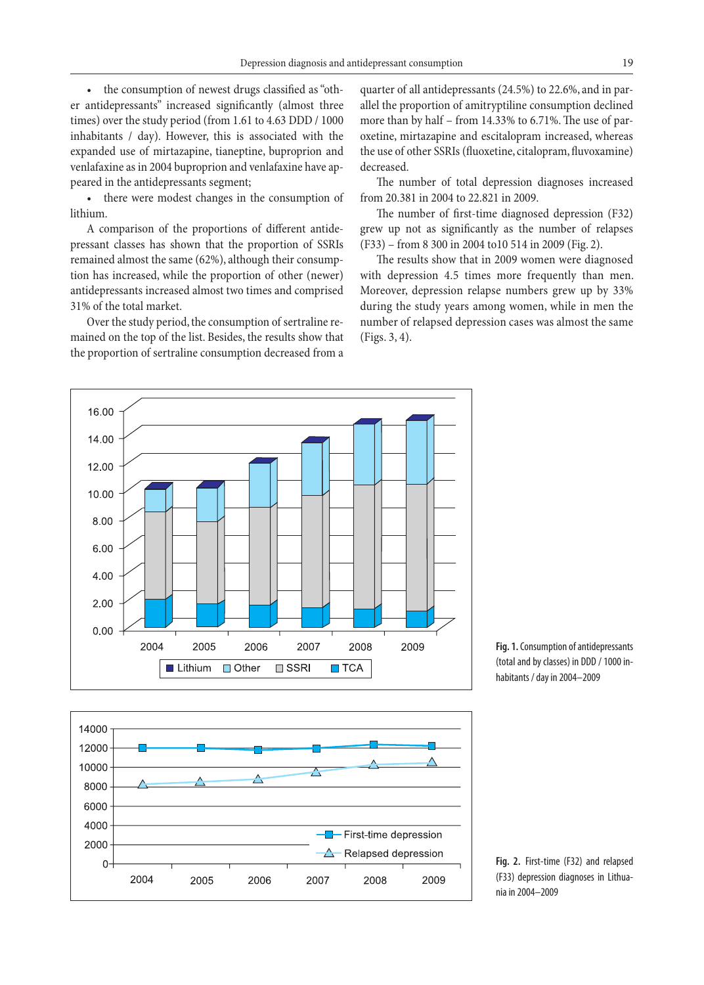• the consumption of newest drugs classified as"other antidepressants" increased significantly (almost three times) over the study period (from 1.61 to 4.63 DDD / 1000 inhabitants / day). However, this is associated with the expanded use of mirtazapine, tianeptine, buproprion and venlafaxine as in 2004 buproprion and venlafaxine have appeared in the antidepressants segment;

• there were modest changes in the consumption of lithium.

A comparison of the proportions of different antidepressant classes has shown that the proportion of SSRIs remained almost the same (62%), although their consumption has increased, while the proportion of other (newer) antidepressants increased almost two times and comprised 31% of the total market.

Over the study period, the consumption of sertraline remained on the top of the list. Besides, the results show that the proportion of sertraline consumption decreased from a

16.00

14.00

12.00

10.00

8.00

6.00

4.00

2.00

 $0.00$ 

2004

2005

Lithium

quarter of all antidepressants (24.5%) to 22.6%, and in parallel the proportion of amitryptiline consumption declined more than by half – from 14.33% to 6.71%. The use of paroxetine, mirtazapine and escitalopram increased, whereas the use of other SSRIs (fluoxetine, citalopram, fluvoxamine) decreased.

The number of total depression diagnoses increased from 20.381 in 2004 to 22.821 in 2009.

The number of first-time diagnosed depression (F32) grew up not as significantly as the number of relapses (F33) – from 8 300 in 2004 to10 514 in 2009 (Fig. 2).

The results show that in 2009 women were diagnosed with depression 4.5 times more frequently than men. Moreover, depression relapse numbers grew up by 33% during the study years among women, while in men the number of relapsed depression cases was almost the same (Figs. 3, 4).



2006

 $\Box$  Other

2007

 $\Box$  SSRI

2008

 $\blacksquare$  TCA

2009

**Fig. 1.** Consumption of antidepressants (total and by classes) in DDD / 1000 inhabitants / day in 2004-2009

**Fig. 2.** First-time (F32) and relapsed (F33) depression diagnoses in Lithuania in 2004–2009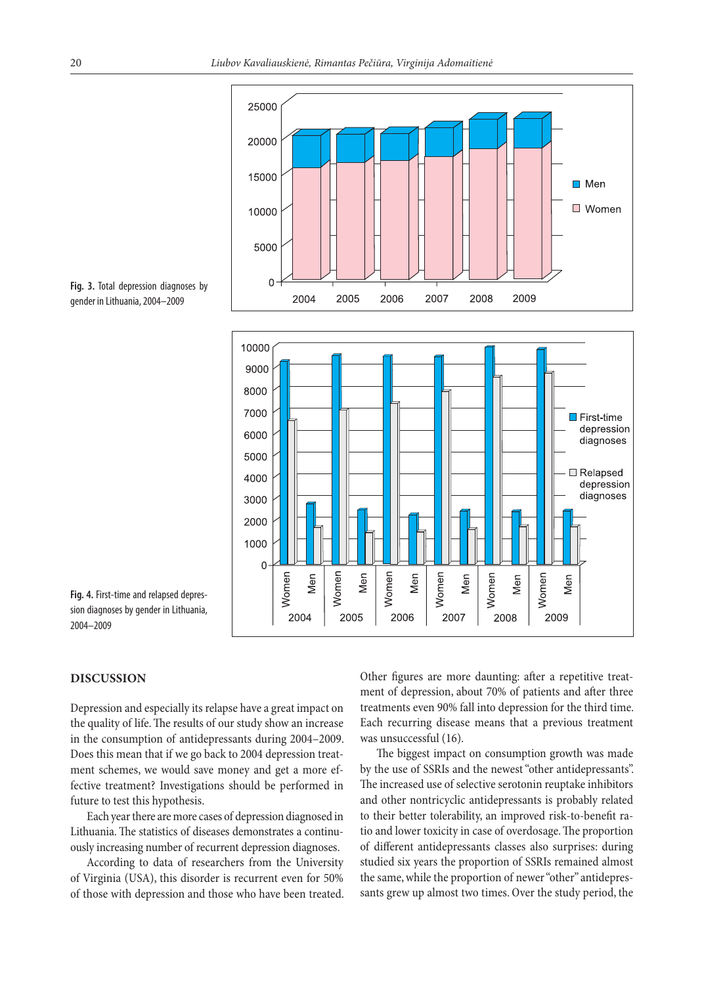



**Fig. 3.** Total depression diagnoses by gender in Lithuania, 2004–2009

**Fig. 4.** First-time and relapsed depression diagnoses by gender in Lithuania, 2004–2009

### **Discussion**

Depression and especially its relapse have a great impact on the quality of life. The results of our study show an increase in the consumption of antidepressants during 2004–2009. Does this mean that if we go back to 2004 depression treatment schemes, we would save money and get a more effective treatment? Investigations should be performed in future to test this hypothesis.

Each year there are more cases of depression diagnosed in Lithuania. The statistics of diseases demonstrates a continuously increasing number of recurrent depression diagnoses.

According to data of researchers from the University of Virginia (USA), this disorder is recurrent even for 50% of those with depression and those who have been treated. Other figures are more daunting: after a repetitive treatment of depression, about 70% of patients and after three treatments even 90% fall into depression for the third time. Each recurring disease means that a previous treatment was unsuccessful (16).

The biggest impact on consumption growth was made by the use of SSRIs and the newest"other antidepressants". The increased use of selective serotonin reuptake inhibitors and other nontricyclic antidepressants is probably related to their better tolerability, an improved risk-to-benefit ratio and lower toxicity in case of overdosage. The proportion of different antidepressants classes also surprises: during studied six years the proportion of SSRIs remained almost the same, while the proportion of newer "other" antidepressants grew up almost two times. Over the study period, the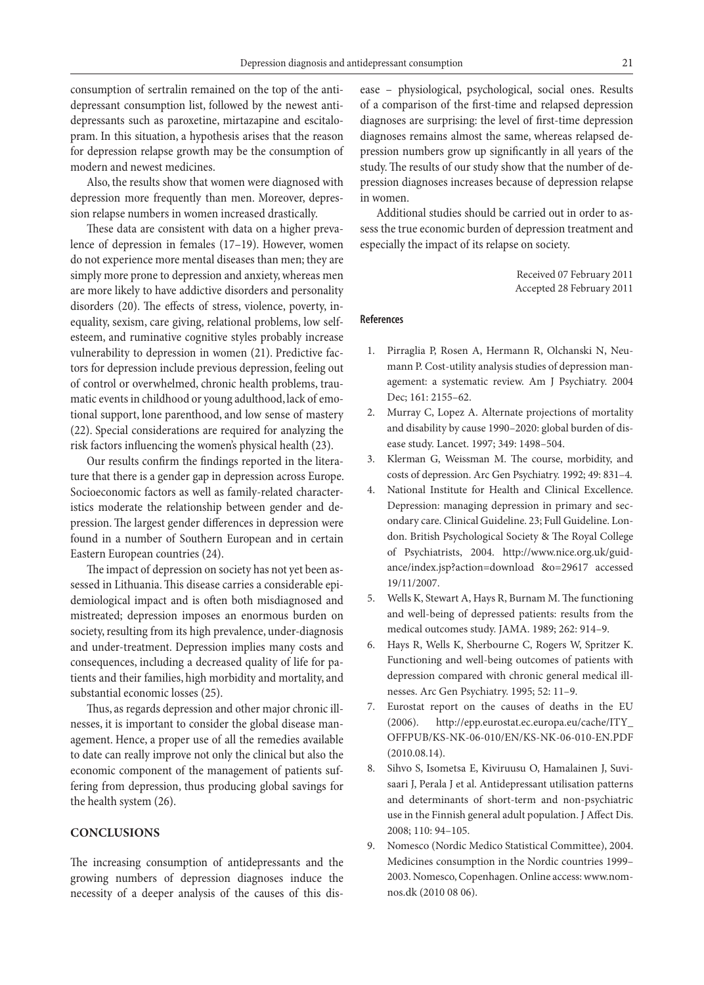consumption of sertralin remained on the top of the antidepressant consumption list, followed by the newest antidepressants such as paroxetine, mirtazapine and escitalopram. In this situation, a hypothesis arises that the reason for depression relapse growth may be the consumption of modern and newest medicines.

Also, the results show that women were diagnosed with depression more frequently than men. Moreover, depression relapse numbers in women increased drastically.

These data are consistent with data on a higher prevalence of depression in females (17–19). However, women do not experience more mental diseases than men; they are simply more prone to depression and anxiety, whereas men are more likely to have addictive disorders and personality disorders (20). The effects of stress, violence, poverty, inequality, sexism, care giving, relational problems, low selfesteem, and ruminative cognitive styles probably increase vulnerability to depression in women (21). Predictive factors for depression include previous depression, feeling out of control or overwhelmed, chronic health problems, traumatic events in childhood or young adulthood, lack of emotional support, lone parenthood, and low sense of mastery (22). Special considerations are required for analyzing the risk factors influencing the women's physical health (23).

Our results confirm the findings reported in the literature that there is a gender gap in depression across Europe. Socioeconomic factors as well as family-related characteristics moderate the relationship between gender and depression. The largest gender differences in depression were found in a number of Southern European and in certain Eastern European countries (24).

The impact of depression on society has not yet been assessed in Lithuania. This disease carries a considerable epidemiological impact and is often both misdiagnosed and mistreated; depression imposes an enormous burden on society, resulting from its high prevalence, under-diagnosis and under-treatment. Depression implies many costs and consequences, including a decreased quality of life for patients and their families, high morbidity and mortality, and substantial economic losses (25).

Thus, as regards depression and other major chronic illnesses, it is important to consider the global disease management. Hence, a proper use of all the remedies available to date can really improve not only the clinical but also the economic component of the management of patients suffering from depression, thus producing global savings for the health system (26).

## **Conclusions**

The increasing consumption of antidepressants and the growing numbers of depression diagnoses induce the necessity of a deeper analysis of the causes of this disease – physiological, psychological, social ones. Results of a comparison of the first-time and relapsed depression diagnoses are surprising: the level of first-time depression diagnoses remains almost the same, whereas relapsed depression numbers grow up significantly in all years of the study. The results of our study show that the number of depression diagnoses increases because of depression relapse in women.

Additional studies should be carried out in order to assess the true economic burden of depression treatment and especially the impact of its relapse on society.

> Received 07 February 2011 Accepted 28 February 2011

#### **References**

- 1. Pirraglia P, Rosen A, Hermann R, Olchanski N, Neumann P. Cost-utility analysis studies of depression management: a systematic review. Am J Psychiatry. 2004 Dec; 161: 2155–62.
- 2. Murray C, Lopez A. Alternate projections of mortality and disability by cause 1990–2020: global burden of disease study. Lancet. 1997; 349: 1498–504.
- 3. Klerman G, Weissman M. The course, morbidity, and costs of depression. Arc Gen Psychiatry. 1992; 49: 831–4.
- 4. National Institute for Health and Clinical Excellence. Depression: managing depression in primary and secondary care. Clinical Guideline. 23; Full Guideline. London. British Psychological Society & The Royal College of Psychiatrists, 2004. http://www.nice.org.uk/guidance/index.jsp?action=download &o=29617 accessed 19/11/2007.
- 5. Wells K, Stewart A, Hays R, Burnam M. The functioning and well-being of depressed patients: results from the medical outcomes study. JAMA. 1989; 262: 914–9.
- 6. Hays R, Wells K, Sherbourne C, Rogers W, Spritzer K. Functioning and well-being outcomes of patients with depression compared with chronic general medical illnesses. Arc Gen Psychiatry. 1995; 52: 11–9.
- 7. Eurostat report on the causes of deaths in the EU (2006). http://epp.eurostat.ec.europa.eu/cache/ITY\_ OFFPUB/KS-NK-06-010/EN/KS-NK-06-010-EN.PDF (2010.08.14).
- 8. Sihvo S, Isometsa E, Kiviruusu O, Hamalainen J, Suvisaari J, Perala J et al. Antidepressant utilisation patterns and determinants of short-term and non-psychiatric use in the Finnish general adult population. J Affect Dis. 2008; 110: 94–105.
- 9. Nomesco (Nordic Medico Statistical Committee), 2004. Medicines consumption in the Nordic countries 1999– 2003. Nomesco, Copenhagen. Online access: www.nomnos.dk (2010 08 06).